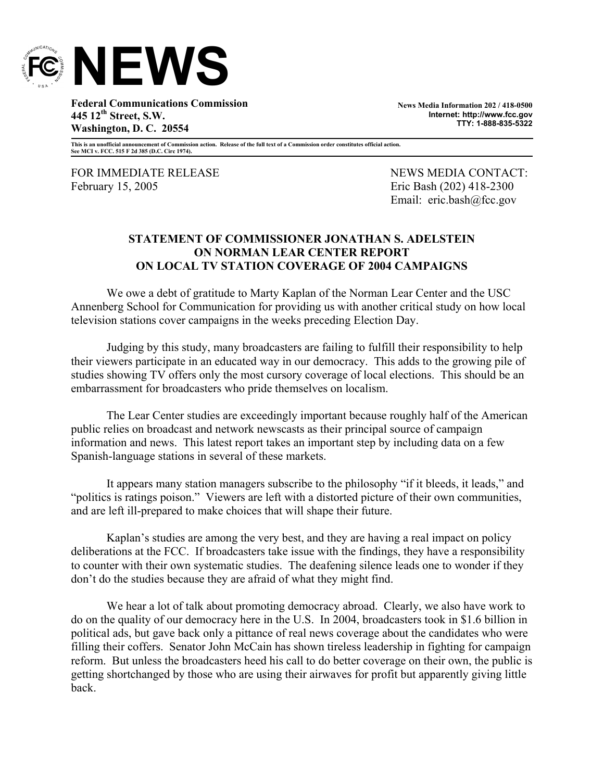

**Federal Communications Commission 445 12th Street, S.W. Washington, D. C. 20554** 

**News Media Information 202 / 418-0500 Internet: http://www.fcc.gov TTY: 1-888-835-5322**

**This is an unofficial announcement of Commission action. Release of the full text of a Commission order constitutes official action. See MCI v. FCC. 515 F 2d 385 (D.C. Circ 1974).** 

FOR IMMEDIATE RELEASE NEWS MEDIA CONTACT: February 15, 2005 **Existence** Eric Bash (202) 418-2300

Email: eric.bash@fcc.gov

## **STATEMENT OF COMMISSIONER JONATHAN S. ADELSTEIN ON NORMAN LEAR CENTER REPORT ON LOCAL TV STATION COVERAGE OF 2004 CAMPAIGNS**

We owe a debt of gratitude to Marty Kaplan of the Norman Lear Center and the USC Annenberg School for Communication for providing us with another critical study on how local television stations cover campaigns in the weeks preceding Election Day.

Judging by this study, many broadcasters are failing to fulfill their responsibility to help their viewers participate in an educated way in our democracy. This adds to the growing pile of studies showing TV offers only the most cursory coverage of local elections. This should be an embarrassment for broadcasters who pride themselves on localism.

The Lear Center studies are exceedingly important because roughly half of the American public relies on broadcast and network newscasts as their principal source of campaign information and news. This latest report takes an important step by including data on a few Spanish-language stations in several of these markets.

It appears many station managers subscribe to the philosophy "if it bleeds, it leads," and "politics is ratings poison." Viewers are left with a distorted picture of their own communities, and are left ill-prepared to make choices that will shape their future.

Kaplan's studies are among the very best, and they are having a real impact on policy deliberations at the FCC. If broadcasters take issue with the findings, they have a responsibility to counter with their own systematic studies. The deafening silence leads one to wonder if they don't do the studies because they are afraid of what they might find.

We hear a lot of talk about promoting democracy abroad. Clearly, we also have work to do on the quality of our democracy here in the U.S. In 2004, broadcasters took in \$1.6 billion in political ads, but gave back only a pittance of real news coverage about the candidates who were filling their coffers. Senator John McCain has shown tireless leadership in fighting for campaign reform. But unless the broadcasters heed his call to do better coverage on their own, the public is getting shortchanged by those who are using their airwaves for profit but apparently giving little back.